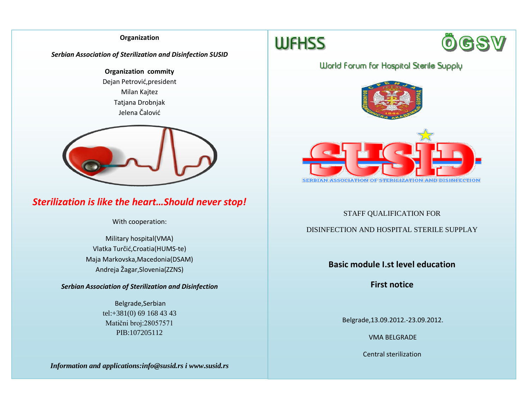## **Organization**

## *Serbian Association of Sterilization and Disinfection SUSID*

**Organization commity** Dejan Petrović,president Milan Kajtez Tatjana Drobnjak Jelena Čalović



# *Sterilization is like the heart…Should never stop!*

With cooperation:

Military hospital(VMA) Vlatka Turčić,Croatia(HUMS-te) Maja Markovska,Macedonia(DSAM) Andreja Žagar,Slovenia(ZZNS)

*Serbian Association of Sterilization and Disinfection*

Belgrade,Serbian tel:+381(0) 69 168 43 43 Matični broj:28057571 PIB:107205112

*Information and applications:info@susid.rs i www.susid.rs*





# **World Forum for Hospital Sterile Supply**



# STAFF QUALIFICATION FOR

# DISINFECTION AND HOSPITAL STERILE SUPPLAY

# **Basic module I.st level education**

**First notice**

Belgrade,13.09.2012.-23.09.2012.

VMA BELGRADE

Central sterilization